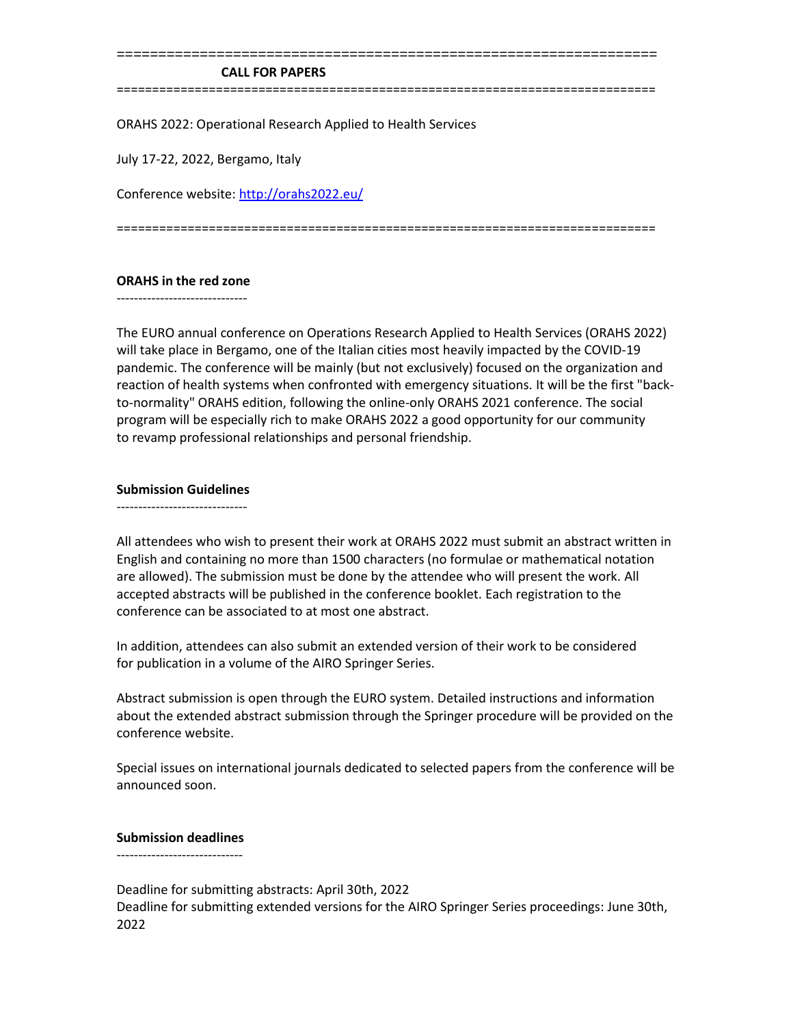#### **CALL FOR PAPERS**

============================================================================

=================================================================

ORAHS 2022: Operational Research Applied to Health Services

July 17-22, 2022, Bergamo, Italy

Conference website[: http://orahs2022.eu/](http://orahs2022.eu/)

============================================================================

## **ORAHS in the red zone**

------------------------------

The EURO annual conference on Operations Research Applied to Health Services (ORAHS 2022) will take place in Bergamo, one of the Italian cities most heavily impacted by the COVID-19 pandemic. The conference will be mainly (but not exclusively) focused on the organization and reaction of health systems when confronted with emergency situations. It will be the first "backto-normality" ORAHS edition, following the online-only ORAHS 2021 conference. The social program will be especially rich to make ORAHS 2022 a good opportunity for our community to revamp professional relationships and personal friendship.

### **Submission Guidelines**

------------------------------

All attendees who wish to present their work at ORAHS 2022 must submit an abstract written in English and containing no more than 1500 characters (no formulae or mathematical notation are allowed). The submission must be done by the attendee who will present the work. All accepted abstracts will be published in the conference booklet. Each registration to the conference can be associated to at most one abstract.

In addition, attendees can also submit an extended version of their work to be considered for publication in a volume of the AIRO Springer Series.

Abstract submission is open through the EURO system. Detailed instructions and information about the extended abstract submission through the Springer procedure will be provided on the conference website.

Special issues on international journals dedicated to selected papers from the conference will be announced soon.

#### **Submission deadlines**

-----------------------------

Deadline for submitting abstracts: April 30th, 2022 Deadline for submitting extended versions for the AIRO Springer Series proceedings: June 30th, 2022